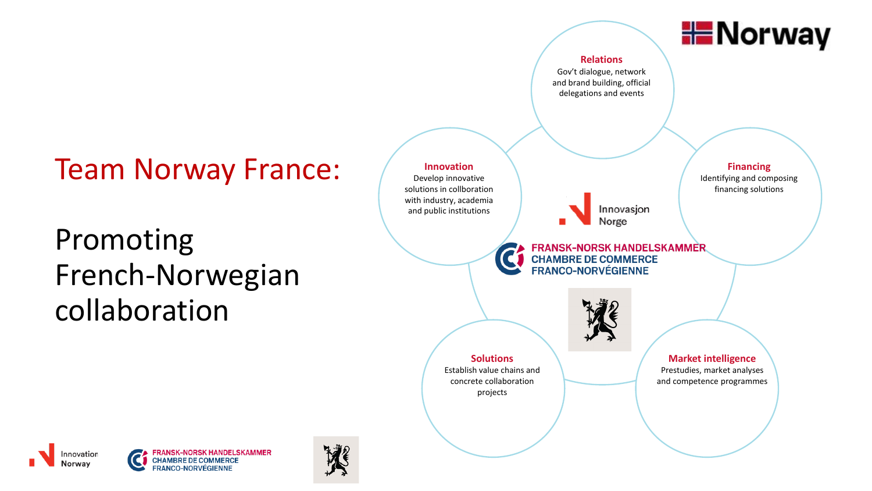# Team Norway France:

# Promoting French-Norwegian collaboration





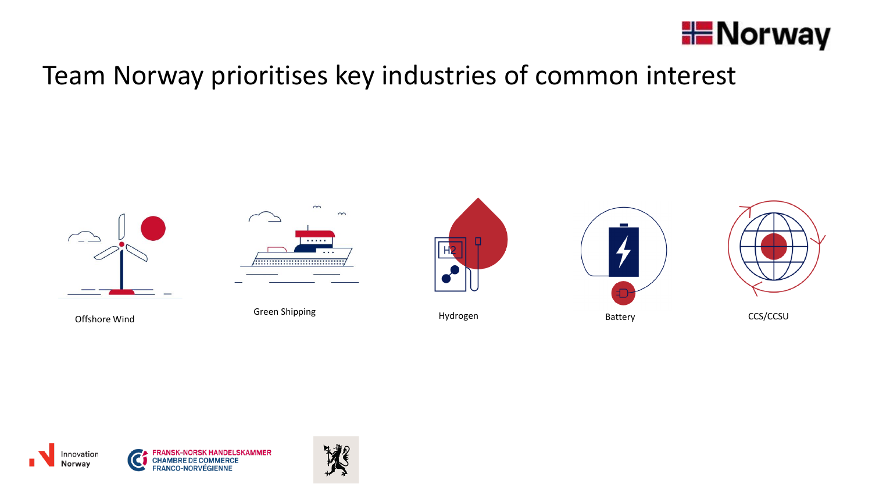

### Team Norway prioritises key industries of common interest



Offshore Wind



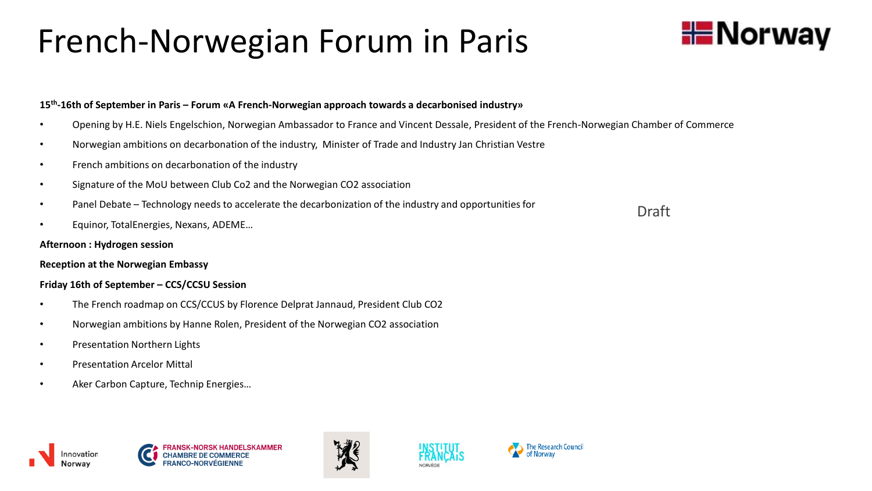# French-Norwegian Forum in Paris



#### **15th -16th of September in Paris – Forum «A French-Norwegian approach towards a decarbonised industry»**

- Opening by H.E. Niels Engelschion, Norwegian Ambassador to France and Vincent Dessale, President of the French-Norwegian Chamber of Commerce
- Norwegian ambitions on decarbonation of the industry, Minister of Trade and Industry Jan Christian Vestre
- French ambitions on decarbonation of the industry
- Signature of the MoU between Club Co2 and the Norwegian CO2 association
- Panel Debate Technology needs to accelerate the decarbonization of the industry and opportunities for
- Equinor, TotalEnergies, Nexans, ADEME…

#### **Afternoon : Hydrogen session**

#### **Reception at the Norwegian Embassy**

#### **Friday 16th of September – CCS/CCSU Session**

- The French roadmap on CCS/CCUS by Florence Delprat Jannaud, President Club CO2
- Norwegian ambitions by Hanne Rolen, President of the Norwegian CO2 association
- Presentation Northern Lights
- Presentation Arcelor Mittal
- Aker Carbon Capture, Technip Energies…







Draft